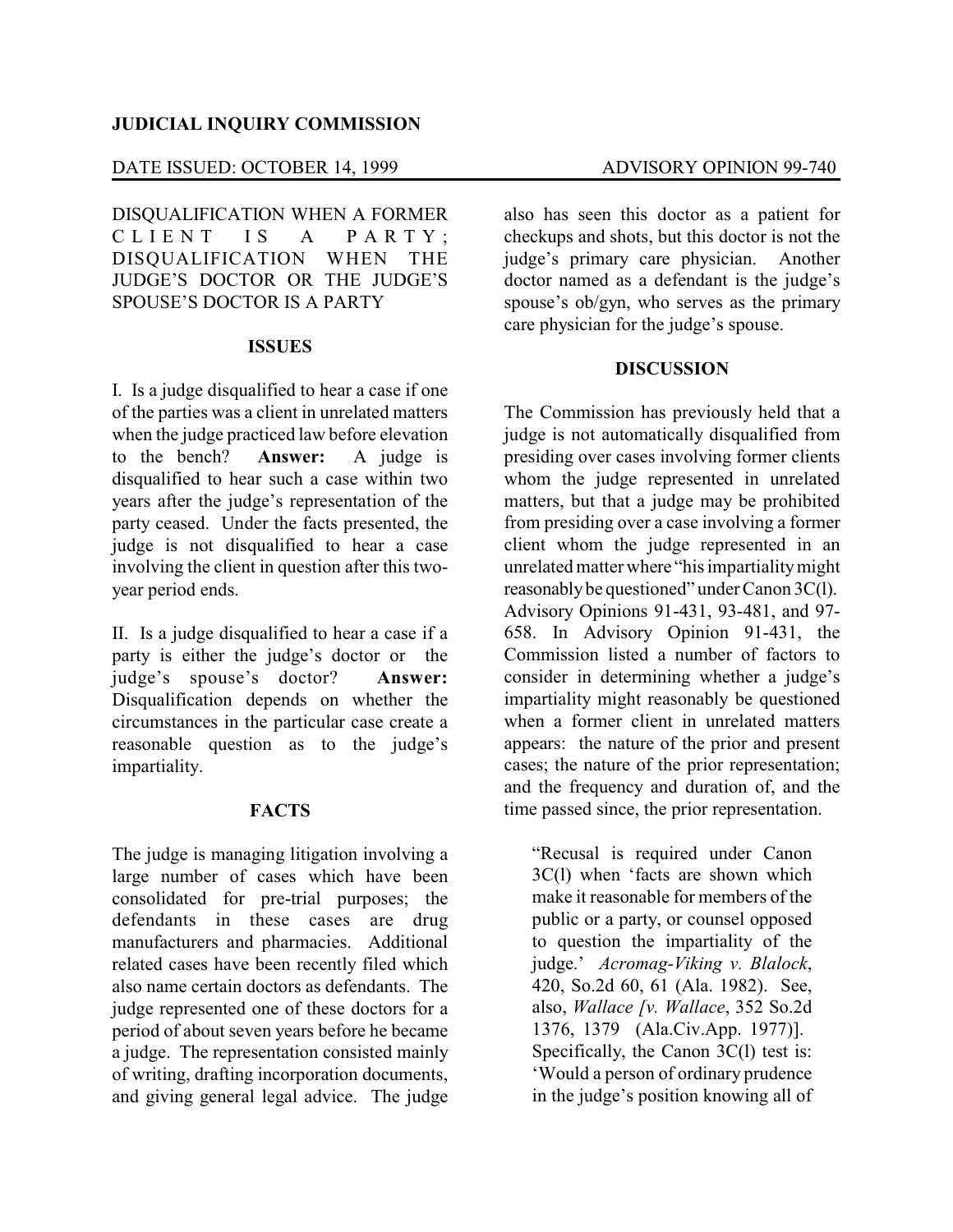### **JUDICIAL INQUIRY COMMISSION**

# DATE ISSUED: OCTOBER 14, 1999 ADVISORY OPINION 99-740

DISQUALIFICATION WHEN A FORMER CLIENT IS A PARTY: DISQUALIFICATION WHEN THE JUDGE'S DOCTOR OR THE JUDGE'S SPOUSE'S DOCTOR IS A PARTY

### **ISSUES**

I. Is a judge disqualified to hear a case if one of the parties was a client in unrelated matters when the judge practiced law before elevation to the bench? **Answer:** A judge is disqualified to hear such a case within two years after the judge's representation of the party ceased. Under the facts presented, the judge is not disqualified to hear a case involving the client in question after this twoyear period ends.

II. Is a judge disqualified to hear a case if a party is either the judge's doctor or the judge's spouse's doctor? **Answer:** Disqualification depends on whether the circumstances in the particular case create a reasonable question as to the judge's impartiality.

## **FACTS**

The judge is managing litigation involving a large number of cases which have been consolidated for pre-trial purposes; the defendants in these cases are drug manufacturers and pharmacies. Additional related cases have been recently filed which also name certain doctors as defendants. The judge represented one of these doctors for a period of about seven years before he became a judge. The representation consisted mainly of writing, drafting incorporation documents, and giving general legal advice. The judge

also has seen this doctor as a patient for checkups and shots, but this doctor is not the judge's primary care physician. Another doctor named as a defendant is the judge's spouse's ob/gyn, who serves as the primary care physician for the judge's spouse.

### **DISCUSSION**

The Commission has previously held that a judge is not automatically disqualified from presiding over cases involving former clients whom the judge represented in unrelated matters, but that a judge may be prohibited from presiding over a case involving a former client whom the judge represented in an unrelated matter where "his impartialitymight reasonably be questioned" under Canon 3C(l). Advisory Opinions 91-431, 93-481, and 97- 658. In Advisory Opinion 91-431, the Commission listed a number of factors to consider in determining whether a judge's impartiality might reasonably be questioned when a former client in unrelated matters appears: the nature of the prior and present cases; the nature of the prior representation; and the frequency and duration of, and the time passed since, the prior representation.

"Recusal is required under Canon 3C(l) when 'facts are shown which make it reasonable for members of the public or a party, or counsel opposed to question the impartiality of the judge.' *Acromag-Viking v. Blalock*, 420, So.2d 60, 61 (Ala. 1982). See, also, *Wallace [v. Wallace*, 352 So.2d 1376, 1379 (Ala.Civ.App. 1977)]. Specifically, the Canon 3C(1) test is: 'Would a person of ordinary prudence in the judge's position knowing all of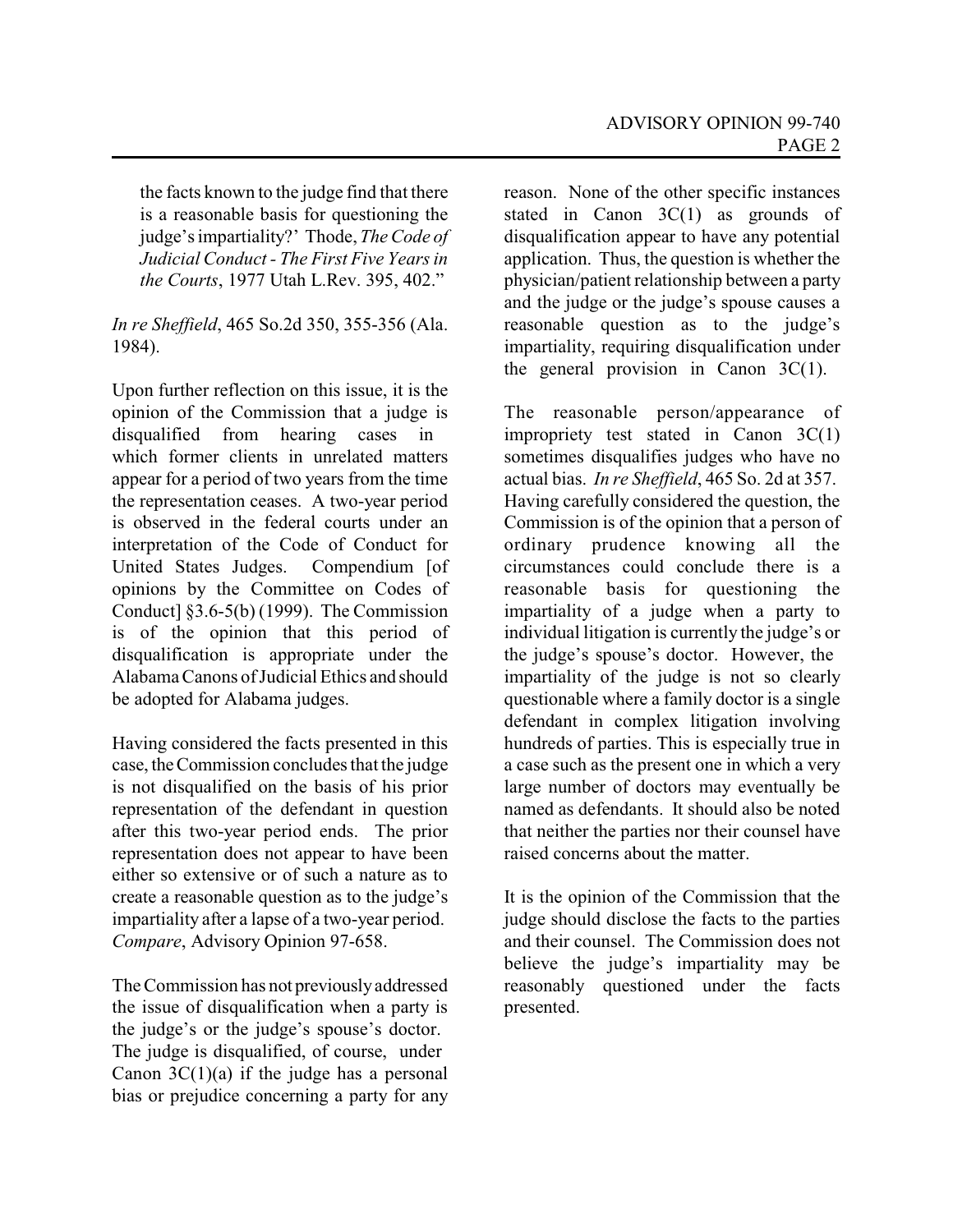the facts known to the judge find that there is a reasonable basis for questioning the judge's impartiality?' Thode, *The Code of Judicial Conduct - The First Five Years in the Courts*, 1977 Utah L.Rev. 395, 402."

*In re Sheffield*, 465 So.2d 350, 355-356 (Ala. 1984).

Upon further reflection on this issue, it is the opinion of the Commission that a judge is disqualified from hearing cases in which former clients in unrelated matters appear for a period of two years from the time the representation ceases. A two-year period is observed in the federal courts under an interpretation of the Code of Conduct for United States Judges. Compendium [of opinions by the Committee on Codes of Conduct] §3.6-5(b) (1999). The Commission is of the opinion that this period of disqualification is appropriate under the AlabamaCanons of Judicial Ethics and should be adopted for Alabama judges.

Having considered the facts presented in this case, theCommission concludes that the judge is not disqualified on the basis of his prior representation of the defendant in question after this two-year period ends. The prior representation does not appear to have been either so extensive or of such a nature as to create a reasonable question as to the judge's impartiality after a lapse of a two-year period. *Compare*, Advisory Opinion 97-658.

The Commission has not previouslyaddressed the issue of disqualification when a party is the judge's or the judge's spouse's doctor. The judge is disqualified, of course, under Canon  $3C(1)(a)$  if the judge has a personal bias or prejudice concerning a party for any reason. None of the other specific instances stated in Canon  $3C(1)$  as grounds of disqualification appear to have any potential application. Thus, the question is whether the physician/patient relationship between a party and the judge or the judge's spouse causes a reasonable question as to the judge's impartiality, requiring disqualification under the general provision in Canon  $3C(1)$ .

The reasonable person/appearance of impropriety test stated in Canon 3C(1) sometimes disqualifies judges who have no actual bias. *In re Sheffield*, 465 So. 2d at 357. Having carefully considered the question, the Commission is of the opinion that a person of ordinary prudence knowing all the circumstances could conclude there is a reasonable basis for questioning the impartiality of a judge when a party to individual litigation is currently the judge's or the judge's spouse's doctor. However, the impartiality of the judge is not so clearly questionable where a family doctor is a single defendant in complex litigation involving hundreds of parties. This is especially true in a case such as the present one in which a very large number of doctors may eventually be named as defendants. It should also be noted that neither the parties nor their counsel have raised concerns about the matter.

It is the opinion of the Commission that the judge should disclose the facts to the parties and their counsel. The Commission does not believe the judge's impartiality may be reasonably questioned under the facts presented.